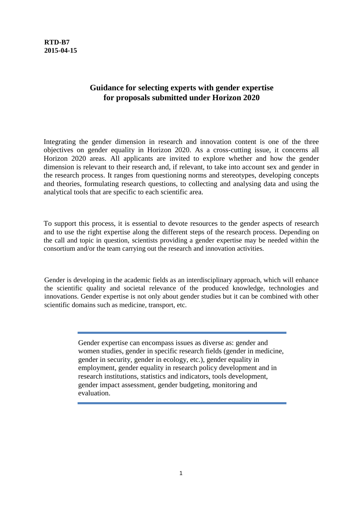**RTD-B7 2015-04-15**

## **Guidance for selecting experts with gender expertise for proposals submitted under Horizon 2020**

Integrating the gender dimension in research and innovation content is one of the three objectives on gender equality in Horizon 2020. As a cross-cutting issue, it concerns all Horizon 2020 areas. All applicants are invited to explore whether and how the gender dimension is relevant to their research and, if relevant, to take into account sex and gender in the research process. It ranges from questioning norms and stereotypes, developing concepts and theories, formulating research questions, to collecting and analysing data and using the analytical tools that are specific to each scientific area.

To support this process, it is essential to devote resources to the gender aspects of research and to use the right expertise along the different steps of the research process. Depending on the call and topic in question, scientists providing a gender expertise may be needed within the consortium and/or the team carrying out the research and innovation activities.

Gender is developing in the academic fields as an interdisciplinary approach, which will enhance the scientific quality and societal relevance of the produced knowledge, technologies and innovations. Gender expertise is not only about gender studies but it can be combined with other scientific domains such as medicine, transport, etc.

> Gender expertise can encompass issues as diverse as: gender and women studies, gender in specific research fields (gender in medicine, gender in security, gender in ecology, etc.), gender equality in employment, gender equality in research policy development and in research institutions, statistics and indicators, tools development, gender impact assessment, gender budgeting, monitoring and evaluation.